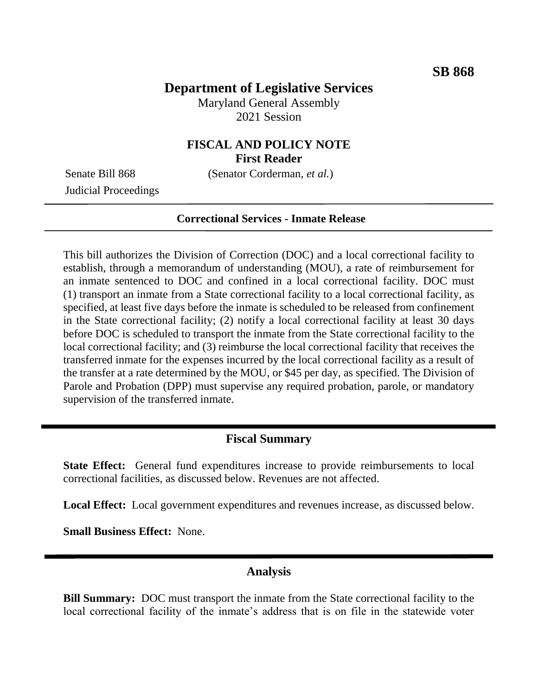## **Department of Legislative Services**

Maryland General Assembly 2021 Session

## **FISCAL AND POLICY NOTE First Reader**

Senate Bill 868 (Senator Corderman, *et al.*)

Judicial Proceedings

#### **Correctional Services - Inmate Release**

This bill authorizes the Division of Correction (DOC) and a local correctional facility to establish, through a memorandum of understanding (MOU), a rate of reimbursement for an inmate sentenced to DOC and confined in a local correctional facility. DOC must (1) transport an inmate from a State correctional facility to a local correctional facility, as specified, at least five days before the inmate is scheduled to be released from confinement in the State correctional facility; (2) notify a local correctional facility at least 30 days before DOC is scheduled to transport the inmate from the State correctional facility to the local correctional facility; and (3) reimburse the local correctional facility that receives the transferred inmate for the expenses incurred by the local correctional facility as a result of the transfer at a rate determined by the MOU, or \$45 per day, as specified. The Division of Parole and Probation (DPP) must supervise any required probation, parole, or mandatory supervision of the transferred inmate.

### **Fiscal Summary**

**State Effect:** General fund expenditures increase to provide reimbursements to local correctional facilities, as discussed below. Revenues are not affected.

**Local Effect:** Local government expenditures and revenues increase, as discussed below.

**Small Business Effect:** None.

### **Analysis**

**Bill Summary:** DOC must transport the inmate from the State correctional facility to the local correctional facility of the inmate's address that is on file in the statewide voter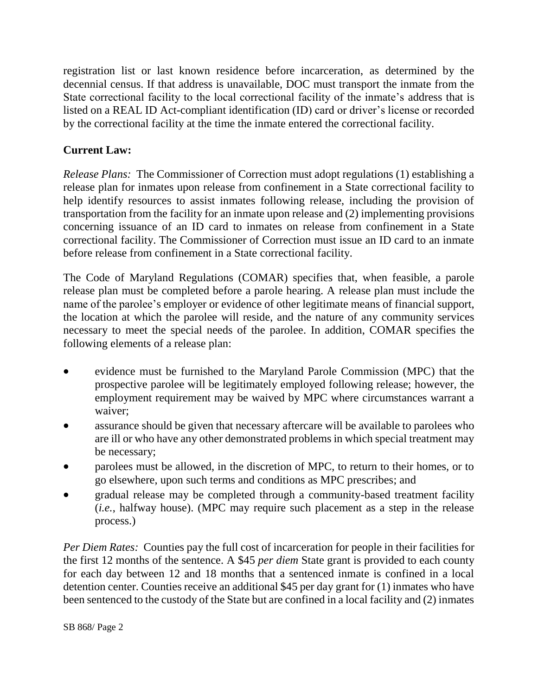registration list or last known residence before incarceration, as determined by the decennial census. If that address is unavailable, DOC must transport the inmate from the State correctional facility to the local correctional facility of the inmate's address that is listed on a REAL ID Act-compliant identification (ID) card or driver's license or recorded by the correctional facility at the time the inmate entered the correctional facility.

## **Current Law:**

*Release Plans:* The Commissioner of Correction must adopt regulations (1) establishing a release plan for inmates upon release from confinement in a State correctional facility to help identify resources to assist inmates following release, including the provision of transportation from the facility for an inmate upon release and (2) implementing provisions concerning issuance of an ID card to inmates on release from confinement in a State correctional facility. The Commissioner of Correction must issue an ID card to an inmate before release from confinement in a State correctional facility.

The Code of Maryland Regulations (COMAR) specifies that, when feasible, a parole release plan must be completed before a parole hearing. A release plan must include the name of the parolee's employer or evidence of other legitimate means of financial support, the location at which the parolee will reside, and the nature of any community services necessary to meet the special needs of the parolee. In addition, COMAR specifies the following elements of a release plan:

- evidence must be furnished to the Maryland Parole Commission (MPC) that the prospective parolee will be legitimately employed following release; however, the employment requirement may be waived by MPC where circumstances warrant a waiver;
- assurance should be given that necessary aftercare will be available to parolees who are ill or who have any other demonstrated problems in which special treatment may be necessary;
- parolees must be allowed, in the discretion of MPC, to return to their homes, or to go elsewhere, upon such terms and conditions as MPC prescribes; and
- gradual release may be completed through a community-based treatment facility (*i.e.*, halfway house). (MPC may require such placement as a step in the release process.)

*Per Diem Rates:* Counties pay the full cost of incarceration for people in their facilities for the first 12 months of the sentence. A \$45 *per diem* State grant is provided to each county for each day between 12 and 18 months that a sentenced inmate is confined in a local detention center. Counties receive an additional \$45 per day grant for (1) inmates who have been sentenced to the custody of the State but are confined in a local facility and (2) inmates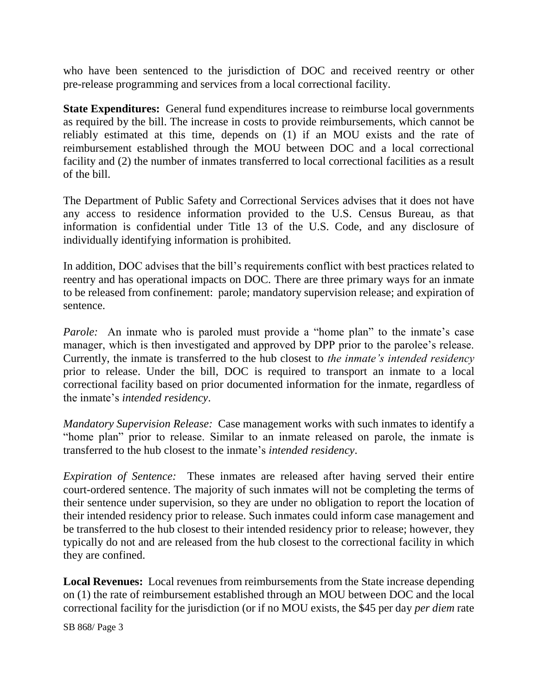who have been sentenced to the jurisdiction of DOC and received reentry or other pre-release programming and services from a local correctional facility.

**State Expenditures:** General fund expenditures increase to reimburse local governments as required by the bill. The increase in costs to provide reimbursements, which cannot be reliably estimated at this time, depends on (1) if an MOU exists and the rate of reimbursement established through the MOU between DOC and a local correctional facility and (2) the number of inmates transferred to local correctional facilities as a result of the bill.

The Department of Public Safety and Correctional Services advises that it does not have any access to residence information provided to the U.S. Census Bureau, as that information is confidential under Title 13 of the U.S. Code, and any disclosure of individually identifying information is prohibited.

In addition, DOC advises that the bill's requirements conflict with best practices related to reentry and has operational impacts on DOC. There are three primary ways for an inmate to be released from confinement: parole; mandatory supervision release; and expiration of sentence.

*Parole:* An inmate who is paroled must provide a "home plan" to the inmate's case manager, which is then investigated and approved by DPP prior to the parolee's release. Currently, the inmate is transferred to the hub closest to *the inmate's intended residency* prior to release. Under the bill, DOC is required to transport an inmate to a local correctional facility based on prior documented information for the inmate, regardless of the inmate's *intended residency*.

*Mandatory Supervision Release:* Case management works with such inmates to identify a "home plan" prior to release. Similar to an inmate released on parole, the inmate is transferred to the hub closest to the inmate's *intended residency*.

*Expiration of Sentence:* These inmates are released after having served their entire court-ordered sentence. The majority of such inmates will not be completing the terms of their sentence under supervision, so they are under no obligation to report the location of their intended residency prior to release. Such inmates could inform case management and be transferred to the hub closest to their intended residency prior to release; however, they typically do not and are released from the hub closest to the correctional facility in which they are confined.

**Local Revenues:** Local revenues from reimbursements from the State increase depending on (1) the rate of reimbursement established through an MOU between DOC and the local correctional facility for the jurisdiction (or if no MOU exists, the \$45 per day *per diem* rate